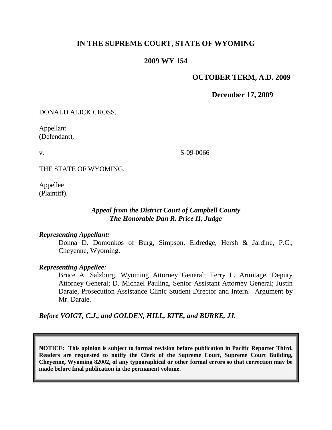# **IN THE SUPREME COURT, STATE OF WYOMING**

### **2009 WY 154**

### **OCTOBER TERM, A.D. 2009**

**December 17, 2009**

DONALD ALICK CROSS,

Appellant (Defendant),

v.

S-09-0066

THE STATE OF WYOMING,

Appellee (Plaintiff).

## *Appeal from the District Court of Campbell County The Honorable Dan R. Price II, Judge*

### *Representing Appellant:*

Donna D. Domonkos of Burg, Simpson, Eldredge, Hersh & Jardine, P.C., Cheyenne, Wyoming.

### *Representing Appellee:*

Bruce A. Salzburg, Wyoming Attorney General; Terry L. Armitage, Deputy Attorney General; D. Michael Pauling, Senior Assistant Attorney General; Justin Daraie, Prosecution Assistance Clinic Student Director and Intern. Argument by Mr. Daraie.

*Before VOIGT, C.J., and GOLDEN, HILL, KITE, and BURKE, JJ.*

**NOTICE: This opinion is subject to formal revision before publication in Pacific Reporter Third. Readers are requested to notify the Clerk of the Supreme Court, Supreme Court Building, Cheyenne, Wyoming 82002, of any typographical or other formal errors so that correction may be made before final publication in the permanent volume.**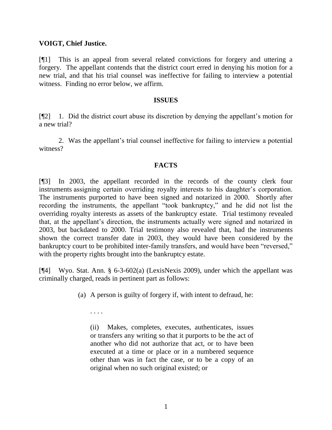### **VOIGT, Chief Justice.**

[¶1] This is an appeal from several related convictions for forgery and uttering a forgery. The appellant contends that the district court erred in denying his motion for a new trial, and that his trial counsel was ineffective for failing to interview a potential witness. Finding no error below, we affirm.

#### **ISSUES**

[¶2] 1. Did the district court abuse its discretion by denying the appellant"s motion for a new trial?

2. Was the appellant"s trial counsel ineffective for failing to interview a potential witness?

### **FACTS**

[¶3] In 2003, the appellant recorded in the records of the county clerk four instruments assigning certain overriding royalty interests to his daughter's corporation. The instruments purported to have been signed and notarized in 2000. Shortly after recording the instruments, the appellant "took bankruptcy," and he did not list the overriding royalty interests as assets of the bankruptcy estate. Trial testimony revealed that, at the appellant"s direction, the instruments actually were signed and notarized in 2003, but backdated to 2000. Trial testimony also revealed that, had the instruments shown the correct transfer date in 2003, they would have been considered by the bankruptcy court to be prohibited inter-family transfers, and would have been "reversed," with the property rights brought into the bankruptcy estate.

[¶4] Wyo. Stat. Ann. § 6-3-602(a) (LexisNexis 2009), under which the appellant was criminally charged, reads in pertinent part as follows:

(a) A person is guilty of forgery if, with intent to defraud, he:

. . . .

(ii) Makes, completes, executes, authenticates, issues or transfers any writing so that it purports to be the act of another who did not authorize that act, or to have been executed at a time or place or in a numbered sequence other than was in fact the case, or to be a copy of an original when no such original existed; or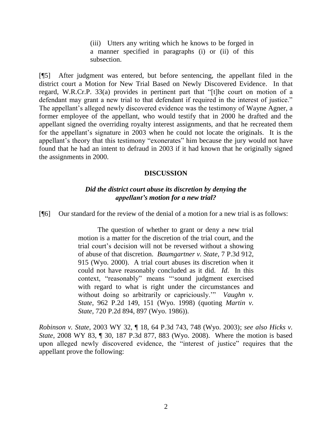(iii) Utters any writing which he knows to be forged in a manner specified in paragraphs (i) or (ii) of this subsection.

[¶5] After judgment was entered, but before sentencing, the appellant filed in the district court a Motion for New Trial Based on Newly Discovered Evidence. In that regard, W.R.Cr.P. 33(a) provides in pertinent part that "[t]he court on motion of a defendant may grant a new trial to that defendant if required in the interest of justice." The appellant"s alleged newly discovered evidence was the testimony of Wayne Agner, a former employee of the appellant, who would testify that in 2000 he drafted and the appellant signed the overriding royalty interest assignments, and that he recreated them for the appellant's signature in 2003 when he could not locate the originals. It is the appellant's theory that this testimony "exonerates" him because the jury would not have found that he had an intent to defraud in 2003 if it had known that he originally signed the assignments in 2000.

#### **DISCUSSION**

#### *Did the district court abuse its discretion by denying the appellant's motion for a new trial?*

[¶6] Our standard for the review of the denial of a motion for a new trial is as follows:

The question of whether to grant or deny a new trial motion is a matter for the discretion of the trial court, and the trial court"s decision will not be reversed without a showing of abuse of that discretion. *Baumgartner v. State*, 7 P.3d 912, 915 (Wyo. 2000). A trial court abuses its discretion when it could not have reasonably concluded as it did. *Id*. In this context, "reasonably" means ""sound judgment exercised with regard to what is right under the circumstances and without doing so arbitrarily or capriciously." *Vaughn v. State*, 962 P.2d 149, 151 (Wyo. 1998) (quoting *Martin v. State*, 720 P.2d 894, 897 (Wyo. 1986)).

*Robinson v. State*, 2003 WY 32, ¶ 18, 64 P.3d 743, 748 (Wyo. 2003); *see also Hicks v. State*, 2008 WY 83, ¶ 30, 187 P.3d 877, 883 (Wyo. 2008). Where the motion is based upon alleged newly discovered evidence, the "interest of justice" requires that the appellant prove the following: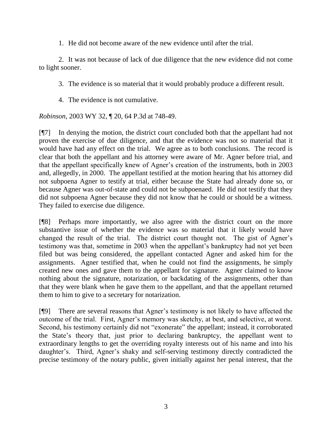1. He did not become aware of the new evidence until after the trial.

2. It was not because of lack of due diligence that the new evidence did not come to light sooner.

3. The evidence is so material that it would probably produce a different result.

4. The evidence is not cumulative.

*Robinson*, 2003 WY 32, ¶ 20, 64 P.3d at 748-49.

[¶7] In denying the motion, the district court concluded both that the appellant had not proven the exercise of due diligence, and that the evidence was not so material that it would have had any effect on the trial. We agree as to both conclusions. The record is clear that both the appellant and his attorney were aware of Mr. Agner before trial, and that the appellant specifically knew of Agner"s creation of the instruments, both in 2003 and, allegedly, in 2000. The appellant testified at the motion hearing that his attorney did not subpoena Agner to testify at trial, either because the State had already done so, or because Agner was out-of-state and could not be subpoenaed. He did not testify that they did not subpoena Agner because they did not know that he could or should be a witness. They failed to exercise due diligence.

[¶8] Perhaps more importantly, we also agree with the district court on the more substantive issue of whether the evidence was so material that it likely would have changed the result of the trial. The district court thought not. The gist of Agner's testimony was that, sometime in 2003 when the appellant"s bankruptcy had not yet been filed but was being considered, the appellant contacted Agner and asked him for the assignments. Agner testified that, when he could not find the assignments, he simply created new ones and gave them to the appellant for signature. Agner claimed to know nothing about the signature, notarization, or backdating of the assignments, other than that they were blank when he gave them to the appellant, and that the appellant returned them to him to give to a secretary for notarization.

[¶9] There are several reasons that Agner"s testimony is not likely to have affected the outcome of the trial. First, Agner"s memory was sketchy, at best, and selective, at worst. Second, his testimony certainly did not "exonerate" the appellant; instead, it corroborated the State"s theory that, just prior to declaring bankruptcy, the appellant went to extraordinary lengths to get the overriding royalty interests out of his name and into his daughter's. Third, Agner's shaky and self-serving testimony directly contradicted the precise testimony of the notary public, given initially against her penal interest, that the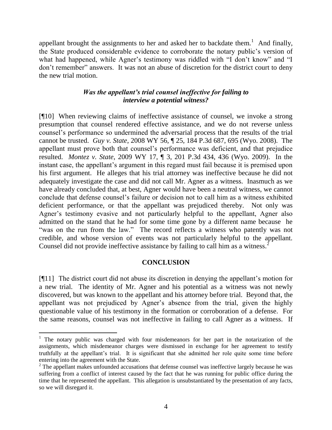appellant brought the assignments to her and asked her to backdate them.<sup>1</sup> And finally, the State produced considerable evidence to corroborate the notary public"s version of what had happened, while Agner's testimony was riddled with "I don't know" and "I don"t remember" answers. It was not an abuse of discretion for the district court to deny the new trial motion.

# *Was the appellant's trial counsel ineffective for failing to interview a potential witness?*

[¶10] When reviewing claims of ineffective assistance of counsel, we invoke a strong presumption that counsel rendered effective assistance, and we do not reverse unless counsel"s performance so undermined the adversarial process that the results of the trial cannot be trusted. *Guy v. State*, 2008 WY 56, ¶ 25, 184 P.3d 687, 695 (Wyo. 2008). The appellant must prove both that counsel"s performance was deficient, and that prejudice resulted. *Montez v. State*, 2009 WY 17, ¶ 3, 201 P.3d 434, 436 (Wyo. 2009). In the instant case, the appellant's argument in this regard must fail because it is premised upon his first argument. He alleges that his trial attorney was ineffective because he did not adequately investigate the case and did not call Mr. Agner as a witness. Inasmuch as we have already concluded that, at best, Agner would have been a neutral witness, we cannot conclude that defense counsel"s failure or decision not to call him as a witness exhibited deficient performance, or that the appellant was prejudiced thereby. Not only was Agner"s testimony evasive and not particularly helpful to the appellant, Agner also admitted on the stand that he had for some time gone by a different name because he "was on the run from the law." The record reflects a witness who patently was not credible, and whose version of events was not particularly helpful to the appellant. Counsel did not provide ineffective assistance by failing to call him as a witness.<sup>2</sup>

### **CONCLUSION**

[¶11] The district court did not abuse its discretion in denying the appellant"s motion for a new trial. The identity of Mr. Agner and his potential as a witness was not newly discovered, but was known to the appellant and his attorney before trial. Beyond that, the appellant was not prejudiced by Agner's absence from the trial, given the highly questionable value of his testimony in the formation or corroboration of a defense. For the same reasons, counsel was not ineffective in failing to call Agner as a witness. If

<sup>&</sup>lt;sup>1</sup> The notary public was charged with four misdemeanors for her part in the notarization of the assignments, which misdemeanor charges were dismissed in exchange for her agreement to testify truthfully at the appellant"s trial. It is significant that she admitted her role quite some time before entering into the agreement with the State.

 $2$  The appellant makes unfounded accusations that defense counsel was ineffective largely because he was suffering from a conflict of interest caused by the fact that he was running for public office during the time that he represented the appellant. This allegation is unsubstantiated by the presentation of any facts, so we will disregard it.